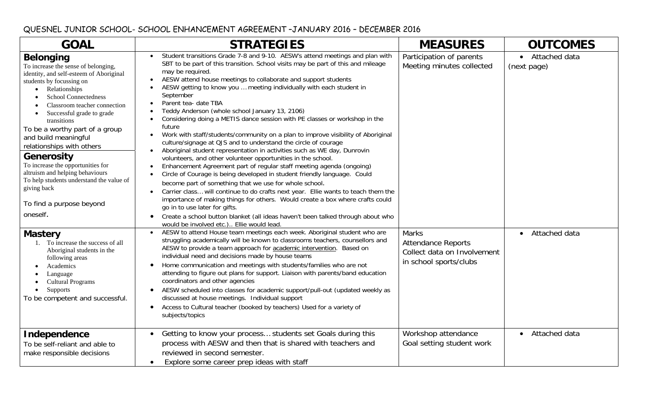## QUESNEL JUNIOR SCHOOL- SCHOOL ENHANCEMENT AGREEMENT –JANUARY 2016 – DECEMBER 2016

| <b>GOAL</b>                                                                                                                                                                                                                                                                                                                                                                                                                                                                                                                                                    | <b>STRATEGIES</b>                                                                                                                                                                                                                                                                                                                                                                                                                                                                                                                                                                                                                                                                                                                                                                                                                                                                                                                                                                                                                                                                                                                                                                                                                                                                                                                                                                                                                                                                                                  | <b>MEASURES</b>                                                                                    | <b>OUTCOMES</b>              |
|----------------------------------------------------------------------------------------------------------------------------------------------------------------------------------------------------------------------------------------------------------------------------------------------------------------------------------------------------------------------------------------------------------------------------------------------------------------------------------------------------------------------------------------------------------------|--------------------------------------------------------------------------------------------------------------------------------------------------------------------------------------------------------------------------------------------------------------------------------------------------------------------------------------------------------------------------------------------------------------------------------------------------------------------------------------------------------------------------------------------------------------------------------------------------------------------------------------------------------------------------------------------------------------------------------------------------------------------------------------------------------------------------------------------------------------------------------------------------------------------------------------------------------------------------------------------------------------------------------------------------------------------------------------------------------------------------------------------------------------------------------------------------------------------------------------------------------------------------------------------------------------------------------------------------------------------------------------------------------------------------------------------------------------------------------------------------------------------|----------------------------------------------------------------------------------------------------|------------------------------|
| <b>Belonging</b><br>To increase the sense of belonging,<br>identity, and self-esteem of Aboriginal<br>students by focussing on<br>Relationships<br>$\bullet$<br><b>School Connectedness</b><br>Classroom teacher connection<br>Successful grade to grade<br>transitions<br>To be a worthy part of a group<br>and build meaningful<br>relationships with others<br><b>Generosity</b><br>To increase the opportunities for<br>altruism and helping behaviours<br>To help students understand the value of<br>giving back<br>To find a purpose beyond<br>oneself. | Student transitions Grade 7-8 and 9-10. AESW's attend meetings and plan with<br>$\bullet$<br>SBT to be part of this transition. School visits may be part of this and mileage<br>may be required.<br>AESW attend house meetings to collaborate and support students<br>$\bullet$<br>AESW getting to know you  meeting individually with each student in<br>September<br>Parent tea- date TBA<br>$\bullet$<br>Teddy Anderson (whole school January 13, 2106)<br>$\bullet$<br>Considering doing a METIS dance session with PE classes or workshop in the<br>$\bullet$<br>future<br>Work with staff/students/community on a plan to improve visibility of Aboriginal<br>$\bullet$<br>culture/signage at QJS and to understand the circle of courage<br>Aboriginal student representation in activities such as WE day, Dunrovin<br>$\bullet$<br>volunteers, and other volunteer opportunities in the school.<br>Enhancement Agreement part of regular staff meeting agenda (ongoing)<br>$\bullet$<br>Circle of Courage is being developed in student friendly language. Could<br>$\bullet$<br>become part of something that we use for whole school.<br>Carrier class will continue to do crafts next year. Ellie wants to teach them the<br>$\bullet$<br>importance of making things for others. Would create a box where crafts could<br>go in to use later for gifts.<br>Create a school button blanket (all ideas haven't been talked through about who<br>$\bullet$<br>would be involved etc.) Ellie would lead. | Participation of parents<br>Meeting minutes collected                                              | Attached data<br>(next page) |
| <b>Mastery</b><br>1. To increase the success of all<br>Aboriginal students in the<br>following areas<br>Academics<br>Language<br><b>Cultural Programs</b><br>Supports<br>To be competent and successful.                                                                                                                                                                                                                                                                                                                                                       | AESW to attend House team meetings each week. Aboriginal student who are<br>struggling academically will be known to classrooms teachers, counsellors and<br>AESW to provide a team approach for <b>academic intervention</b> . Based on<br>individual need and decisions made by house teams<br>Home communication and meetings with students/families who are not<br>$\bullet$<br>attending to figure out plans for support. Liaison with parents/band education<br>coordinators and other agencies<br>AESW scheduled into classes for academic support/pull-out (updated weekly as<br>$\bullet$<br>discussed at house meetings. Individual support<br>Access to Cultural teacher (booked by teachers) Used for a variety of<br>$\bullet$<br>subjects/topics                                                                                                                                                                                                                                                                                                                                                                                                                                                                                                                                                                                                                                                                                                                                                     | <b>Marks</b><br><b>Attendance Reports</b><br>Collect data on Involvement<br>in school sports/clubs | Attached data                |
| Independence<br>To be self-reliant and able to<br>make responsible decisions                                                                                                                                                                                                                                                                                                                                                                                                                                                                                   | Getting to know your process students set Goals during this<br>$\bullet$<br>process with AESW and then that is shared with teachers and<br>reviewed in second semester.<br>Explore some career prep ideas with staff<br>$\bullet$                                                                                                                                                                                                                                                                                                                                                                                                                                                                                                                                                                                                                                                                                                                                                                                                                                                                                                                                                                                                                                                                                                                                                                                                                                                                                  | Workshop attendance<br>Goal setting student work                                                   | • Attached data              |